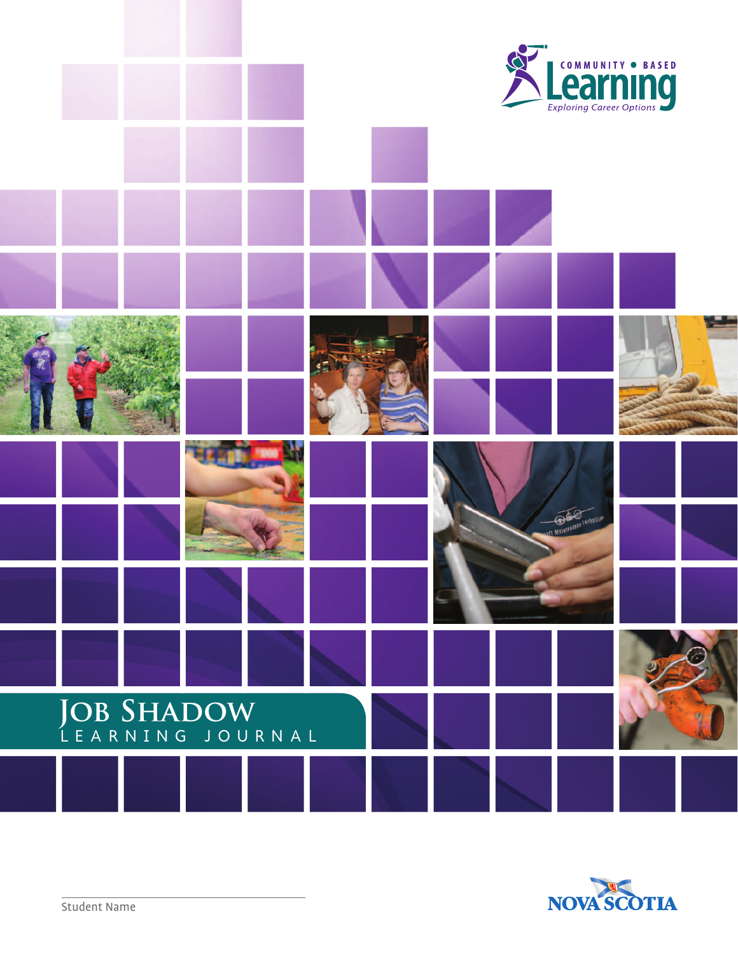

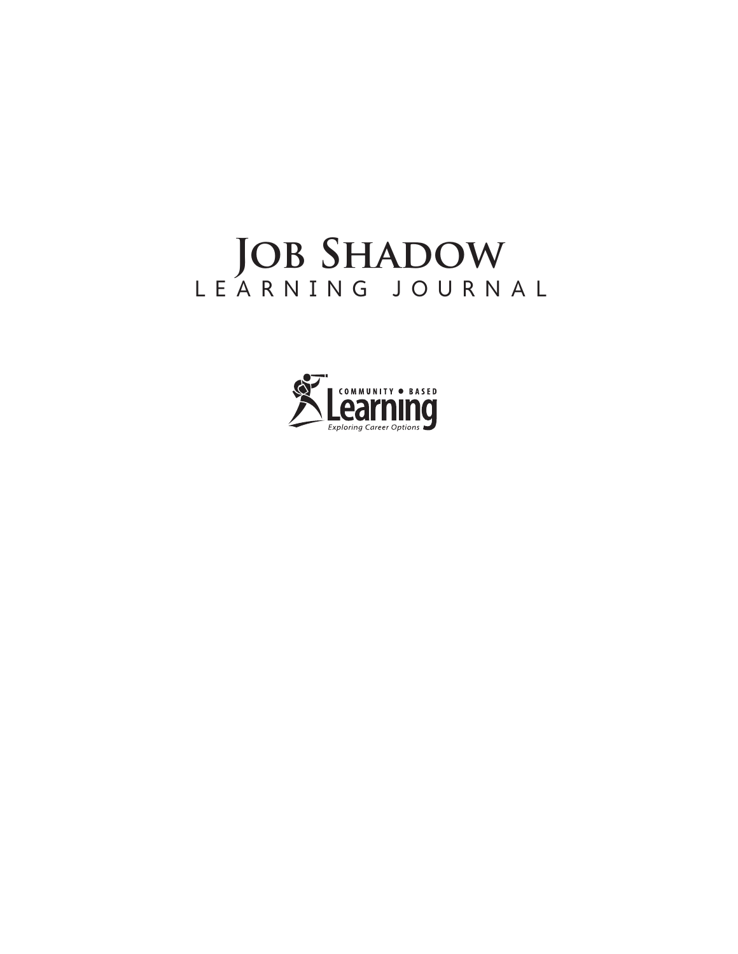# JOB SHADOW LEARNING JOURNAL

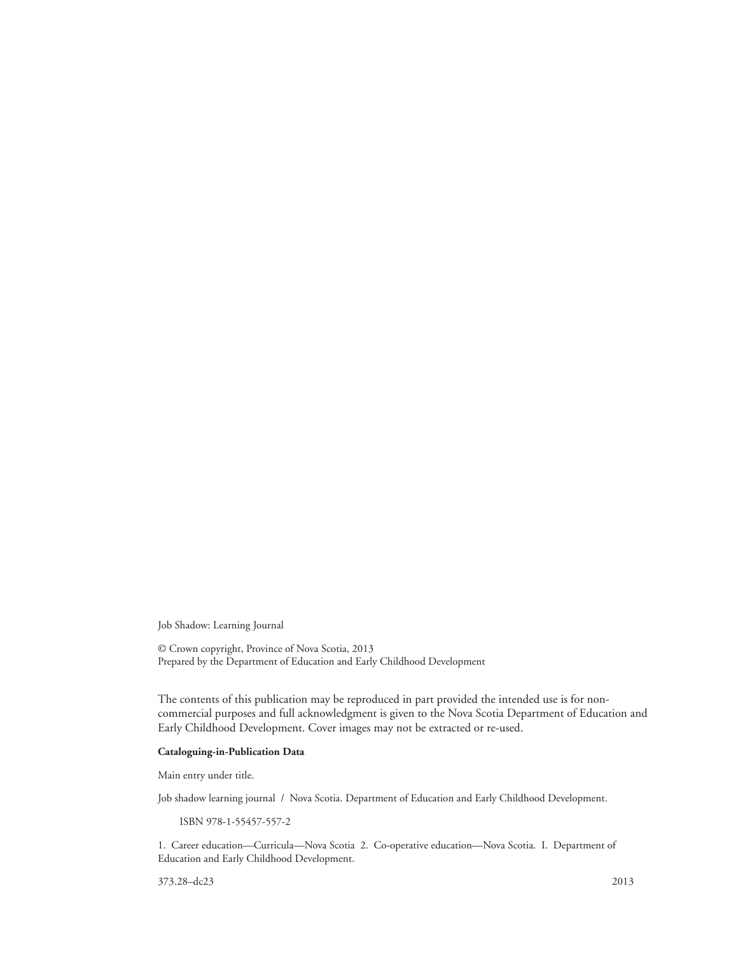Job Shadow: Learning Journal

© Crown copyright, Province of Nova Scotia, 2013 Prepared by the Department of Education and Early Childhood Development

The contents of this publication may be reproduced in part provided the intended use is for noncommercial purposes and full acknowledgment is given to the Nova Scotia Department of Education and Early Childhood Development. Cover images may not be extracted or re-used.

#### **Cataloguing-in-Publication Data**

Main entry under title.

Job shadow learning journal / Nova Scotia. Department of Education and Early Childhood Development.

ISBN 978-1-55457-557-2

1. Career education—Curricula—Nova Scotia 2. Co-operative education—Nova Scotia. I. Department of Education and Early Childhood Development.

373.28–dc23 2013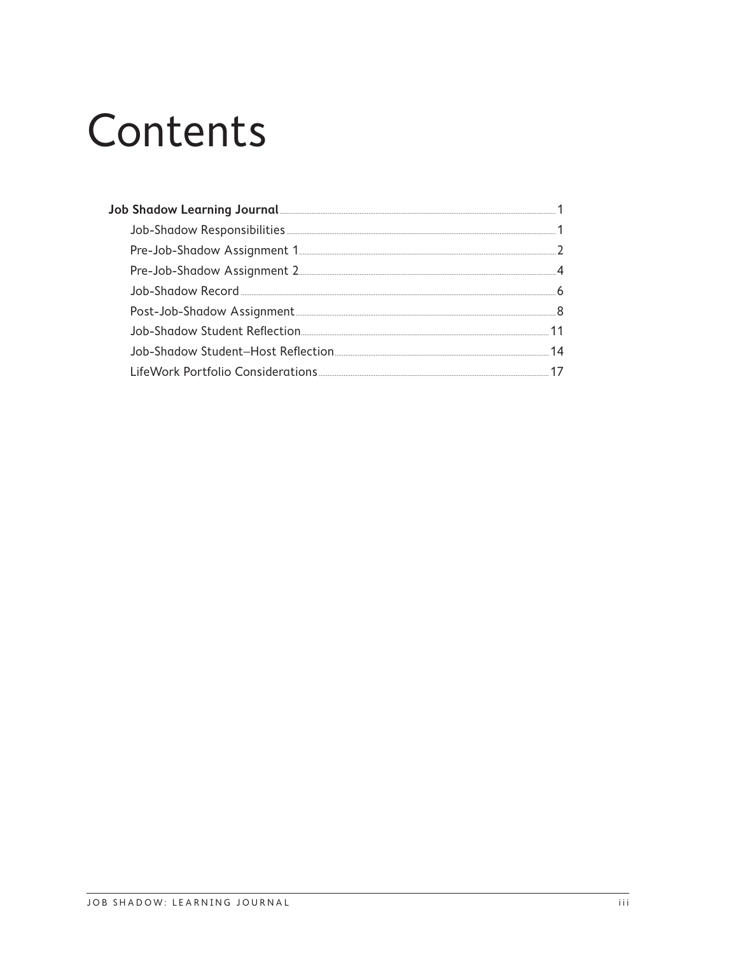# Contents

| Job Shadow Learning Journal <b>Shadow</b> Learning Superior State of the Shadow Learning Superior State of the Shadow Learning Superior State of the Shadow Learning Superior State of the Shadow Learning Superior State of the Sh |    |
|-------------------------------------------------------------------------------------------------------------------------------------------------------------------------------------------------------------------------------------|----|
| Job-Shadow Responsibilities [1986] [1986] [1986] [1986] [1986] [1986] [1986] [1986] [1986] [1987] [1988] [1989] [1989] [1989] [1989] [1989] [1989] [1989] [1989] [1989] [1989] [1989] [1989] [1989] [1989] [1989] [1989] [1989      |    |
|                                                                                                                                                                                                                                     |    |
| Pre-Job-Shadow Assignment 2 [1984] [2009] [2009] [2013] [2014] [3009] [3009] [3009] [3009] [3009] [3009] [3009] [3009] [3009] [3009] [3009] [3009] [3009] [3009] [3009] [3009] [3009] [3009] [3009] [3009] [3009] [3009] [3009      |    |
|                                                                                                                                                                                                                                     |    |
|                                                                                                                                                                                                                                     |    |
|                                                                                                                                                                                                                                     |    |
|                                                                                                                                                                                                                                     | 14 |
|                                                                                                                                                                                                                                     |    |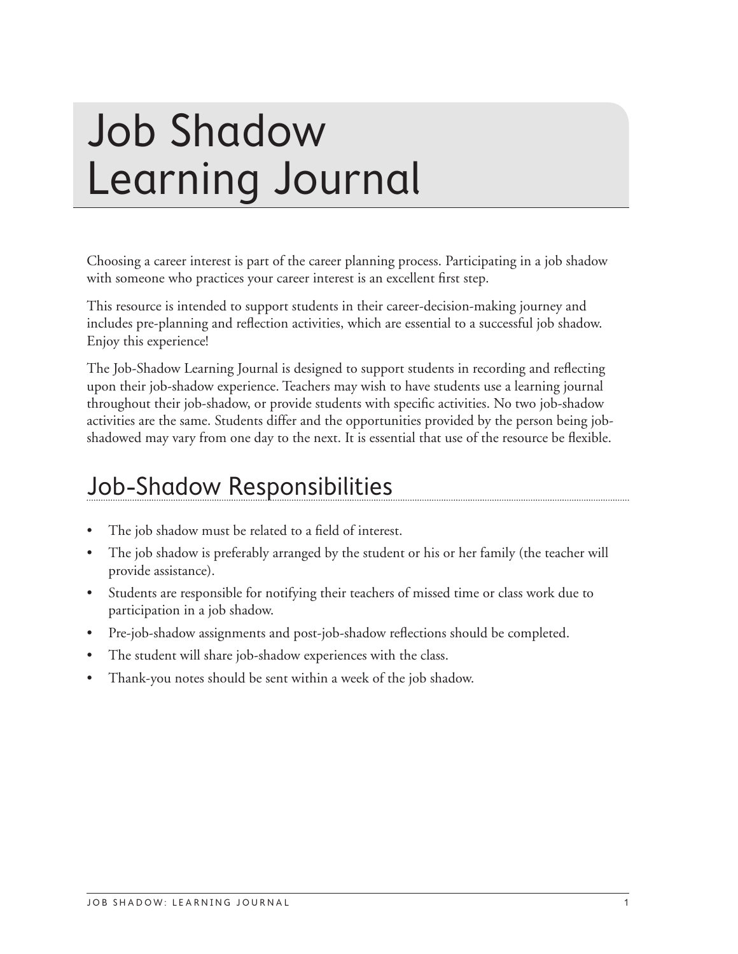# <span id="page-6-0"></span>Job Shadow Learning Journal

Choosing a career interest is part of the career planning process. Participating in a job shadow with someone who practices your career interest is an excellent first step.

This resource is intended to support students in their career-decision-making journey and includes pre-planning and reflection activities, which are essential to a successful job shadow. Enjoy this experience!

The Job-Shadow Learning Journal is designed to support students in recording and reflecting upon their job-shadow experience. Teachers may wish to have students use a learning journal throughout their job-shadow, or provide students with specific activities. No two job-shadow activities are the same. Students differ and the opportunities provided by the person being jobshadowed may vary from one day to the next. It is essential that use of the resource be flexible.

### Job-Shadow Responsibilities

- The job shadow must be related to a field of interest.
- The job shadow is preferably arranged by the student or his or her family (the teacher will provide assistance).
- Students are responsible for notifying their teachers of missed time or class work due to participation in a job shadow.
- Pre-job-shadow assignments and post-job-shadow reflections should be completed.
- The student will share job-shadow experiences with the class.
- Thank-you notes should be sent within a week of the job shadow.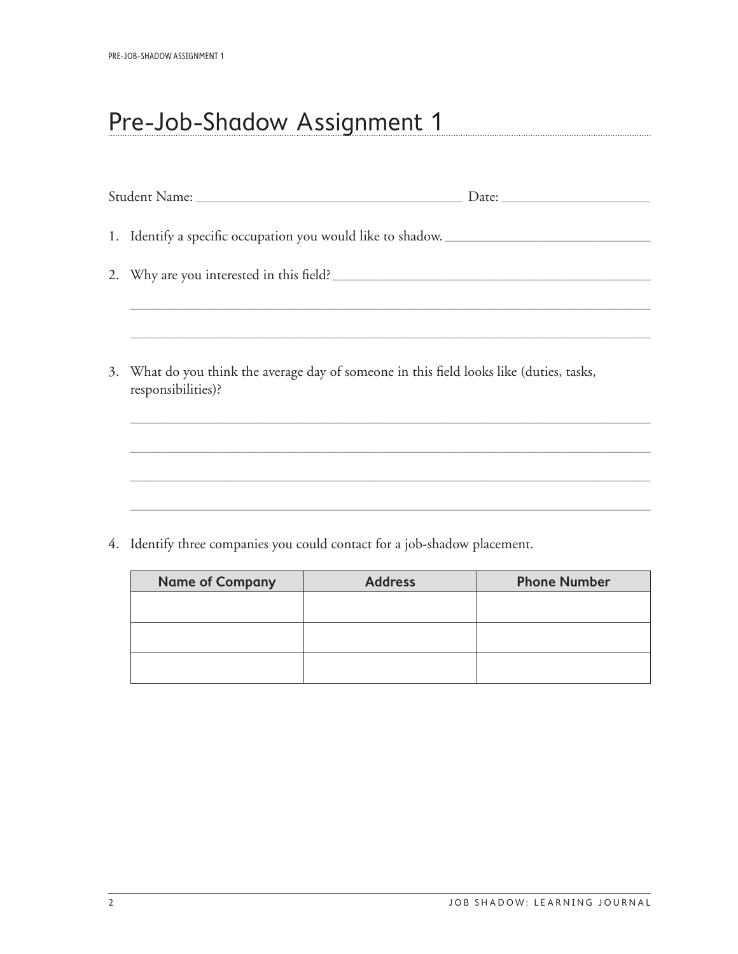## <span id="page-7-0"></span>Pre-Job-Shadow Assignment 1

| 1. Identify a specific occupation you would like to shadow.                                                    |  |
|----------------------------------------------------------------------------------------------------------------|--|
| 2. Why are you interested in this field?                                                                       |  |
|                                                                                                                |  |
| 3. What do you think the average day of someone in this field looks like (duties, tasks,<br>responsibilities)? |  |
|                                                                                                                |  |
|                                                                                                                |  |
|                                                                                                                |  |

4. Identify three companies you could contact for a job-shadow placement.

| <b>Name of Company</b> | <b>Address</b> | <b>Phone Number</b> |
|------------------------|----------------|---------------------|
|                        |                |                     |
|                        |                |                     |
|                        |                |                     |
|                        |                |                     |
|                        |                |                     |
|                        |                |                     |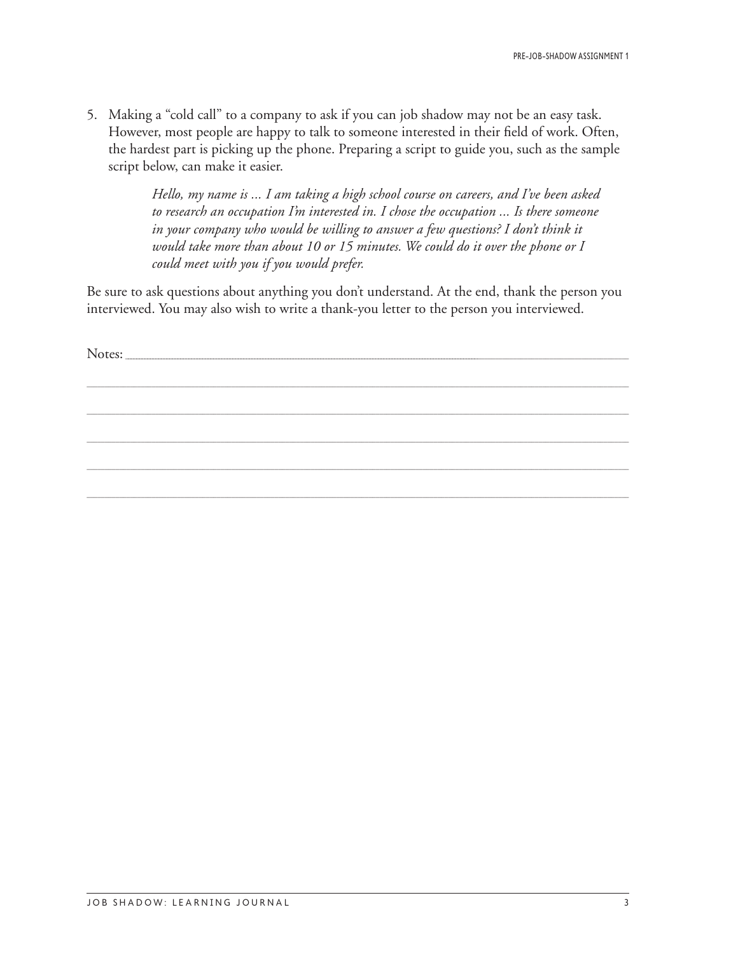5. Making a "cold call" to a company to ask if you can job shadow may not be an easy task. However, most people are happy to talk to someone interested in their field of work. Often, the hardest part is picking up the phone. Preparing a script to guide you, such as the sample script below, can make it easier.

> *Hello, my name is ... I am taking a high school course on careers, and I've been asked to research an occupation I'm interested in. I chose the occupation ... Is there someone*  in your company who would be willing to answer a few questions? I don't think it *would take more than about 10 or 15 minutes. We could do it over the phone or I could meet with you if you would prefer.*

Be sure to ask questions about anything you don't understand. At the end, thank the person you interviewed. You may also wish to write a thank-you letter to the person you interviewed.

\_\_\_\_\_\_\_\_\_\_\_\_\_\_\_\_\_\_\_\_\_\_\_\_\_\_\_\_\_\_\_\_\_\_\_\_\_\_\_\_\_\_\_\_\_\_\_\_\_\_\_\_\_\_\_\_\_\_\_\_\_\_\_\_\_\_\_\_\_\_\_\_\_\_\_\_\_\_\_\_\_\_\_\_\_\_\_\_\_\_\_\_\_\_\_\_\_\_\_\_\_\_\_\_\_\_\_\_\_\_\_\_\_\_\_\_\_\_\_\_\_\_\_\_\_\_\_\_\_\_\_\_\_\_\_\_\_\_\_\_\_\_\_\_\_\_\_\_\_\_

\_\_\_\_\_\_\_\_\_\_\_\_\_\_\_\_\_\_\_\_\_\_\_\_\_\_\_\_\_\_\_\_\_\_\_\_\_\_\_\_\_\_\_\_\_\_\_\_\_\_\_\_\_\_\_\_\_\_\_\_\_\_\_\_\_\_\_\_\_\_\_\_\_\_\_\_\_\_\_\_\_\_\_\_\_\_\_\_\_\_\_\_\_\_\_\_\_\_\_\_\_\_\_\_\_\_\_\_\_\_\_\_\_\_\_\_\_\_\_\_\_\_\_\_\_\_\_\_\_\_\_\_\_\_\_\_\_\_\_\_\_\_\_\_\_\_\_\_\_\_

\_\_\_\_\_\_\_\_\_\_\_\_\_\_\_\_\_\_\_\_\_\_\_\_\_\_\_\_\_\_\_\_\_\_\_\_\_\_\_\_\_\_\_\_\_\_\_\_\_\_\_\_\_\_\_\_\_\_\_\_\_\_\_\_\_\_\_\_\_\_\_\_\_\_\_\_\_\_\_\_\_\_\_\_\_\_\_\_\_\_\_\_\_\_\_\_\_\_\_\_\_\_\_\_\_\_\_\_\_\_\_\_\_\_\_\_\_\_\_\_\_\_\_\_\_\_\_\_\_\_\_\_\_\_\_\_\_\_\_\_\_\_\_\_\_\_\_\_\_\_

\_\_\_\_\_\_\_\_\_\_\_\_\_\_\_\_\_\_\_\_\_\_\_\_\_\_\_\_\_\_\_\_\_\_\_\_\_\_\_\_\_\_\_\_\_\_\_\_\_\_\_\_\_\_\_\_\_\_\_\_\_\_\_\_\_\_\_\_\_\_\_\_\_\_\_\_\_\_\_\_\_\_\_\_\_\_\_\_\_\_\_\_\_\_\_\_\_\_\_\_\_\_\_\_\_\_\_\_\_\_\_\_\_\_\_\_\_\_\_\_\_\_\_\_\_\_\_\_\_\_\_\_\_\_\_\_\_\_\_\_\_\_\_\_\_\_\_\_\_\_

\_\_\_\_\_\_\_\_\_\_\_\_\_\_\_\_\_\_\_\_\_\_\_\_\_\_\_\_\_\_\_\_\_\_\_\_\_\_\_\_\_\_\_\_\_\_\_\_\_\_\_\_\_\_\_\_\_\_\_\_\_\_\_\_\_\_\_\_\_\_\_\_\_\_\_\_\_\_\_\_\_\_\_\_\_\_\_\_\_\_\_\_\_\_\_\_\_\_\_\_\_\_\_\_\_\_\_\_\_\_\_\_\_\_\_\_\_\_\_\_\_\_\_\_\_\_\_\_\_\_\_\_\_\_\_\_\_\_\_\_\_\_\_\_\_\_\_\_\_\_

Notes: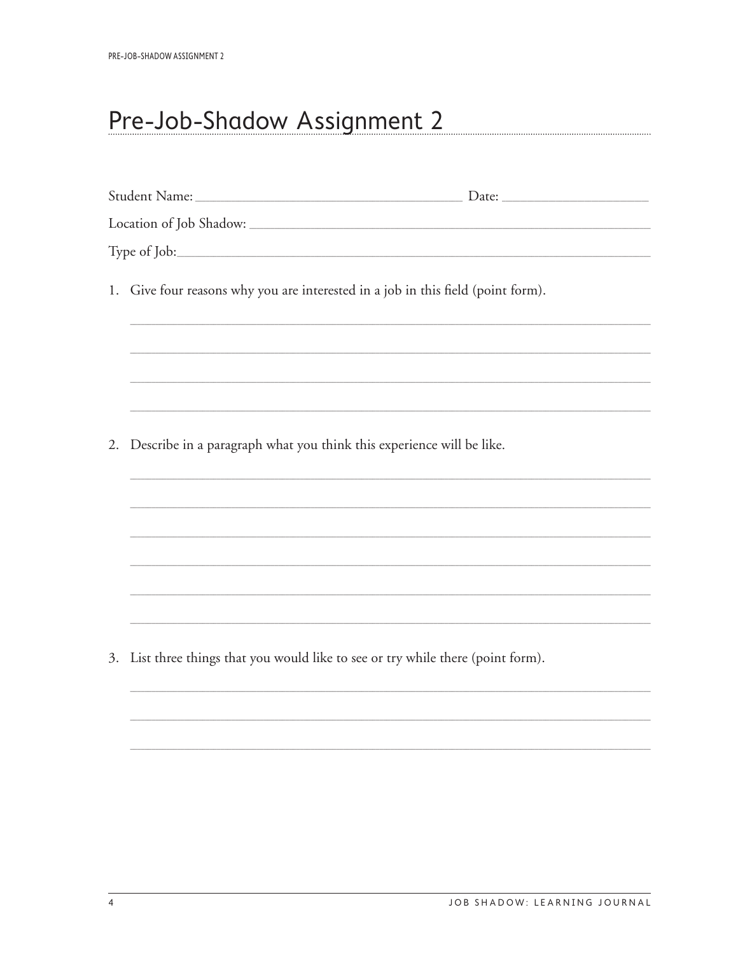## <span id="page-9-0"></span>Pre-Job-Shadow Assignment 2

|    | 1. Give four reasons why you are interested in a job in this field (point form).<br><u> 1989 - Johann Harry Harry Harry Harry Harry Harry Harry Harry Harry Harry Harry Harry Harry Harry Harry Harry</u> |  |
|----|-----------------------------------------------------------------------------------------------------------------------------------------------------------------------------------------------------------|--|
|    |                                                                                                                                                                                                           |  |
|    |                                                                                                                                                                                                           |  |
| 2. | Describe in a paragraph what you think this experience will be like.                                                                                                                                      |  |
|    |                                                                                                                                                                                                           |  |
|    |                                                                                                                                                                                                           |  |
|    |                                                                                                                                                                                                           |  |
|    |                                                                                                                                                                                                           |  |
|    |                                                                                                                                                                                                           |  |
|    | 3. List three things that you would like to see or try while there (point form).                                                                                                                          |  |
|    |                                                                                                                                                                                                           |  |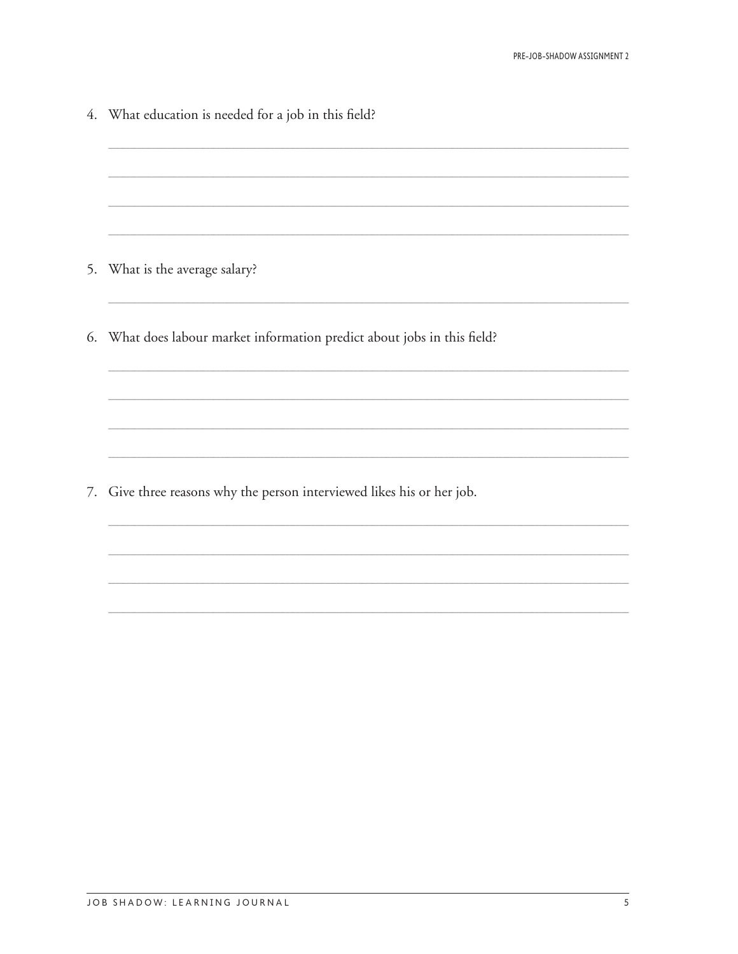4. What education is needed for a job in this field? 5. What is the average salary? 6. What does labour market information predict about jobs in this field? 7. Give three reasons why the person interviewed likes his or her job.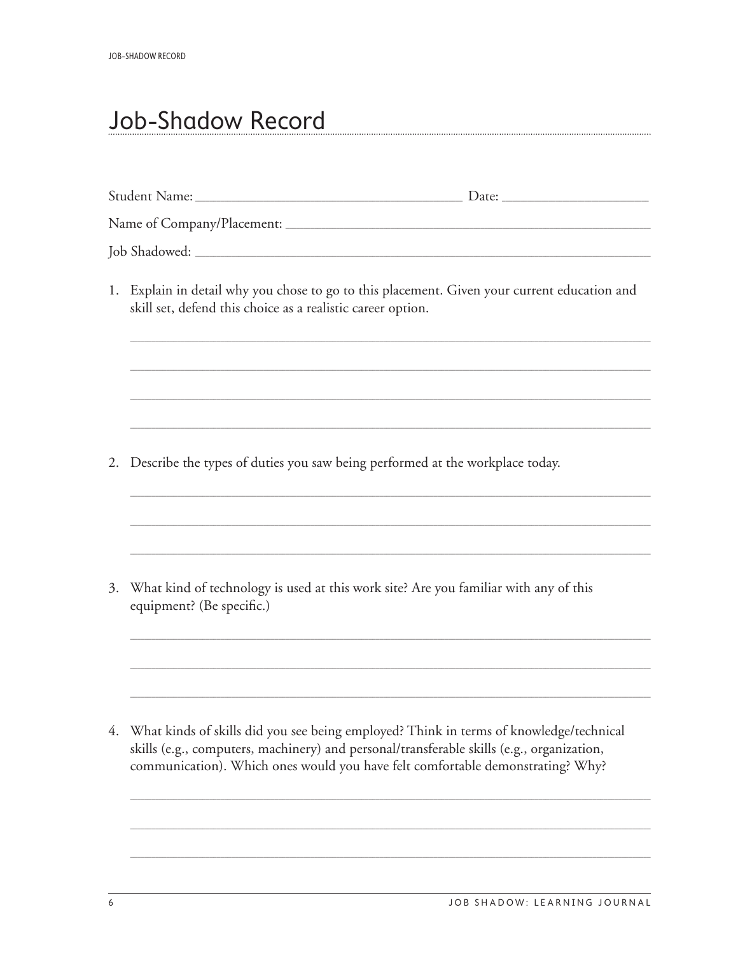#### <span id="page-11-0"></span>Job-Shadow Record

|    | Job Shadowed: New York Shadowed: New York Shadowed: New York Shadowed: New York Shadowed: New York Shadowed: New York Shadowed: New York Shadowed: New York Shadowed: New York Shadowed: New York Shadowed: New York Shadowed: |  |
|----|--------------------------------------------------------------------------------------------------------------------------------------------------------------------------------------------------------------------------------|--|
|    | 1. Explain in detail why you chose to go to this placement. Given your current education and<br>skill set, defend this choice as a realistic career option.                                                                    |  |
|    |                                                                                                                                                                                                                                |  |
|    |                                                                                                                                                                                                                                |  |
|    | Describe the types of duties you saw being performed at the workplace today.<br>2.                                                                                                                                             |  |
|    |                                                                                                                                                                                                                                |  |
|    |                                                                                                                                                                                                                                |  |
| 3. | What kind of technology is used at this work site? Are you familiar with any of this<br>equipment? (Be specific.)                                                                                                              |  |
|    |                                                                                                                                                                                                                                |  |
|    |                                                                                                                                                                                                                                |  |
|    | $\ell$ - Wiles leader Calefier did access to being resulting difficult in course of bureauted schools air of                                                                                                                   |  |

4. What kinds of skills did you see being employed? Think in terms of knowledge/technical skills (e.g., computers, machinery) and personal/transferable skills (e.g., organization, communication). Which ones would you have felt comfortable demonstrating? Why?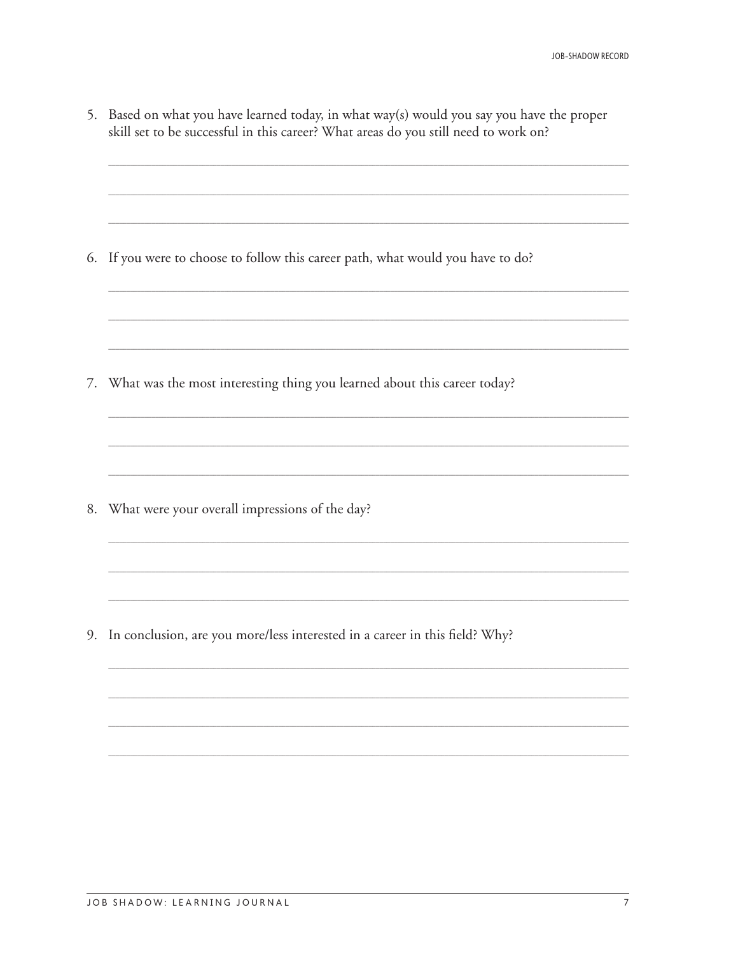|    | 5. Based on what you have learned today, in what way(s) would you say you have the proper<br>skill set to be successful in this career? What areas do you still need to work on? |
|----|----------------------------------------------------------------------------------------------------------------------------------------------------------------------------------|
|    | 6. If you were to choose to follow this career path, what would you have to do?                                                                                                  |
|    |                                                                                                                                                                                  |
| 7. | What was the most interesting thing you learned about this career today?                                                                                                         |
|    | 8. What were your overall impressions of the day?                                                                                                                                |
|    |                                                                                                                                                                                  |

9. In conclusion, are you more/less interested in a career in this field? Why?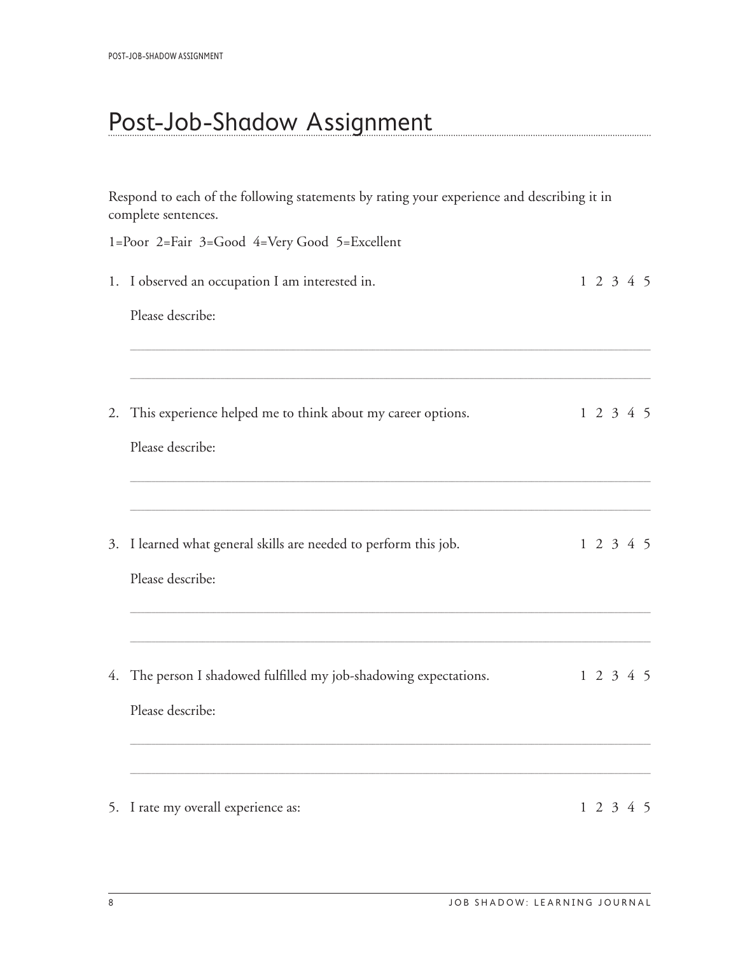#### <span id="page-13-0"></span>Post-Job-Shadow Assignment

Respond to each of the following statements by rating your experience and describing it in complete sentences. 1=Poor 2=Fair 3=Good 4=Very Good 5=Excellent 1. I observed an occupation I am interested in.  $1\ 2\ 3\ 4\ 5$ Please describe: 2. This experience helped me to think about my career options. 1 2 3 4 5 Please describe: 3. I learned what general skills are needed to perform this job. 1 2 3 4 5 Please describe: <u> 1980 - Antonio Alemania, politikar politikar (h. 1980)</u> 4. The person I shadowed fulfilled my job-shadowing expectations. 1 2 3 4 5 Please describe: 5. I rate my overall experience as:  $1\ 2\ 3\ 4\ 5$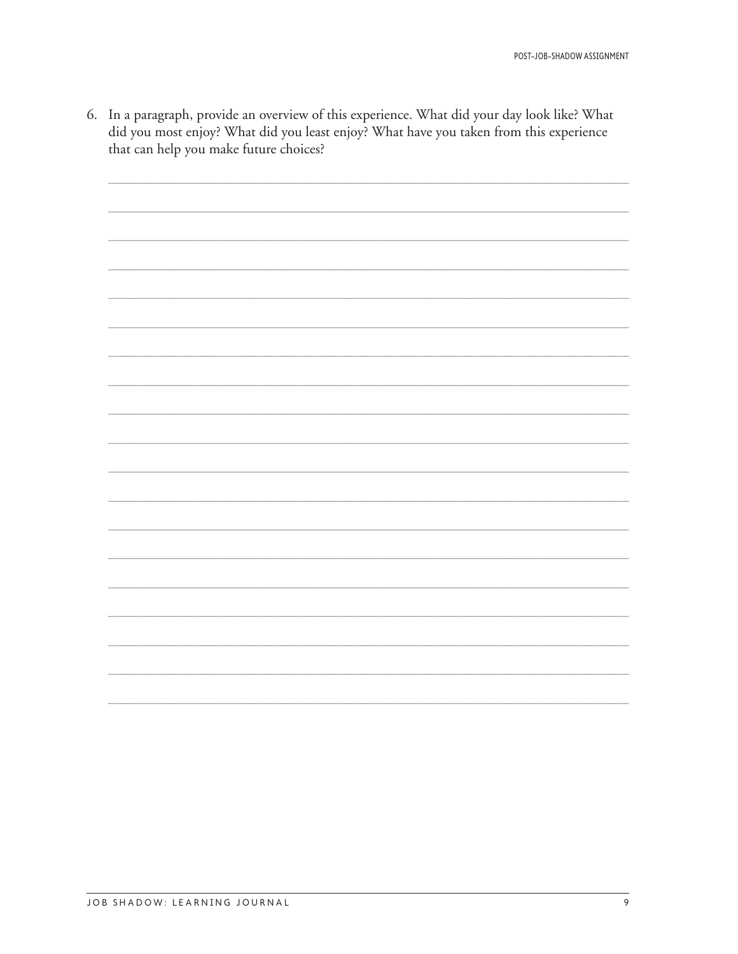6. In a paragraph, provide an overview of this experience. What did your day look like? What did you most enjoy? What did you least enjoy? What have you taken from this experience that can help you make future choices?

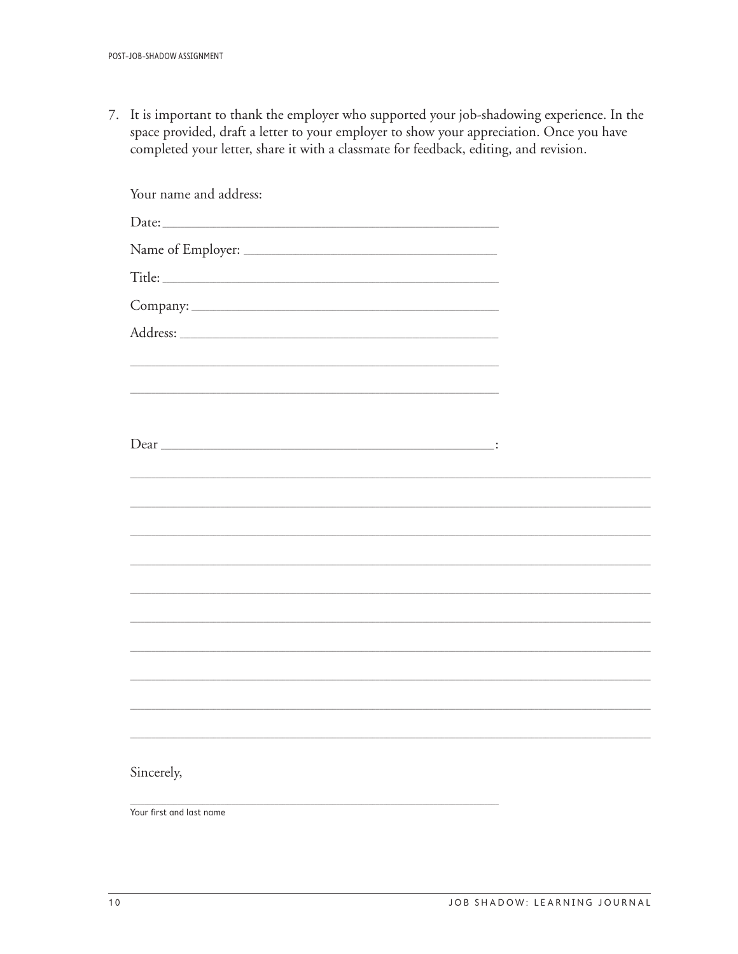7. It is important to thank the employer who supported your job-shadowing experience. In the space provided, draft a letter to your employer to show your appreciation. Once you have completed your letter, share it with a classmate for feedback, editing, and revision.

| Your name and address:   |  |
|--------------------------|--|
|                          |  |
|                          |  |
|                          |  |
|                          |  |
|                          |  |
|                          |  |
|                          |  |
|                          |  |
|                          |  |
|                          |  |
|                          |  |
|                          |  |
|                          |  |
|                          |  |
|                          |  |
|                          |  |
|                          |  |
|                          |  |
|                          |  |
|                          |  |
| Sincerely,               |  |
| Your first and last name |  |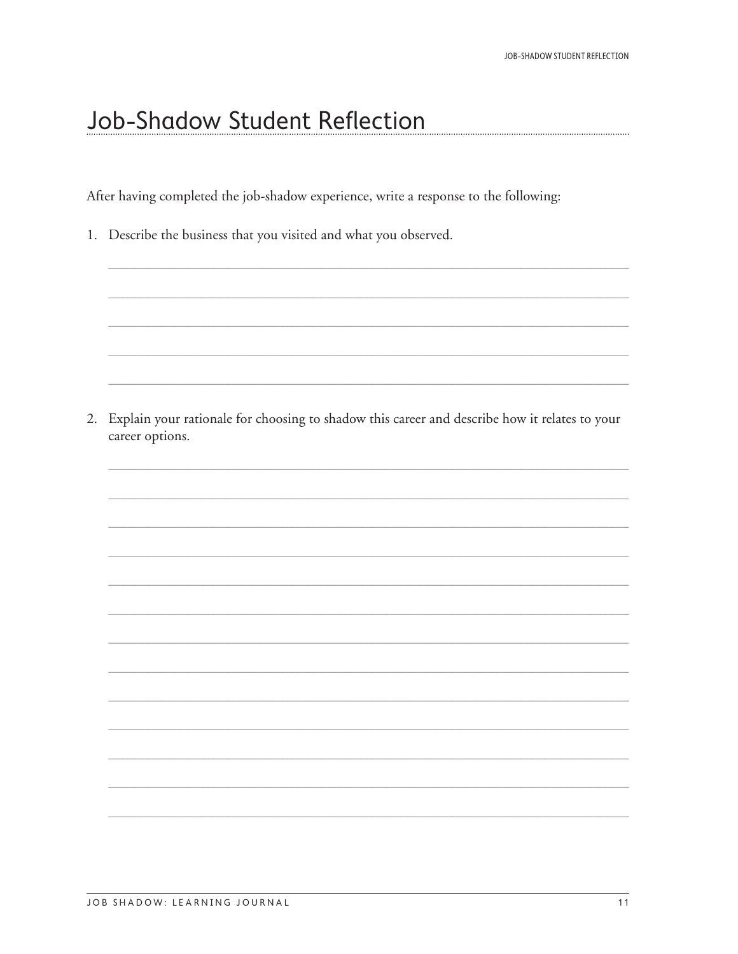#### <span id="page-16-0"></span>Job-Shadow Student Reflection

After having completed the job-shadow experience, write a response to the following:

1. Describe the business that you visited and what you observed.

2. Explain your rationale for choosing to shadow this career and describe how it relates to your career options.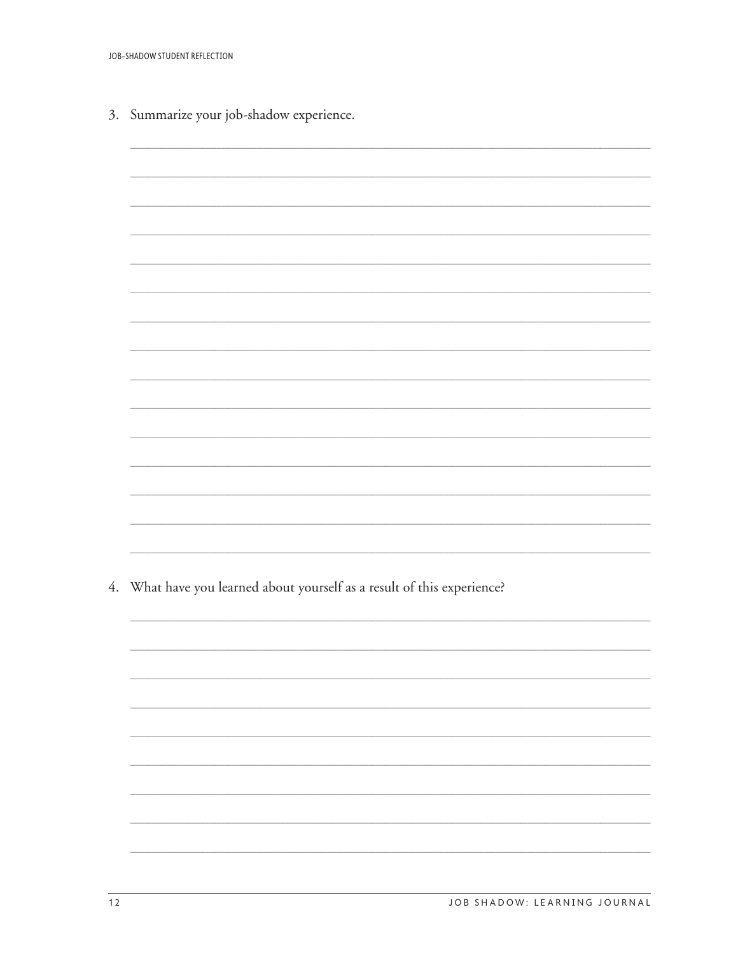3. Summarize your job-shadow experience.



4. What have you learned about yourself as a result of this experience?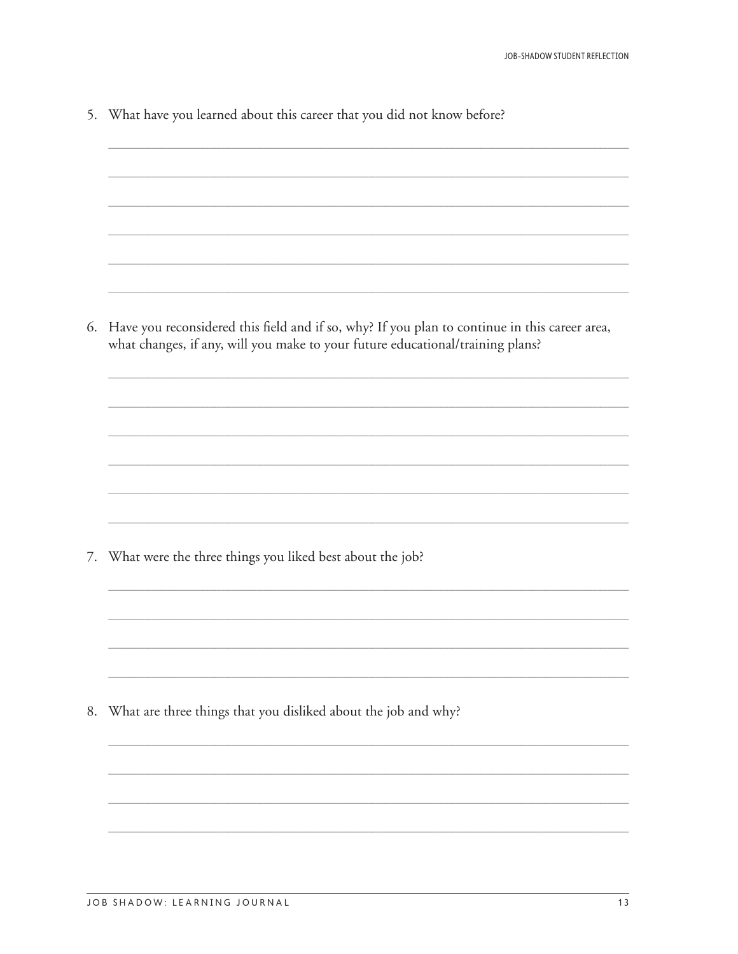5. What have you learned about this career that you did not know before?

6. Have you reconsidered this field and if so, why? If you plan to continue in this career area, what changes, if any, will you make to your future educational/training plans?

7. What were the three things you liked best about the job?

8. What are three things that you disliked about the job and why?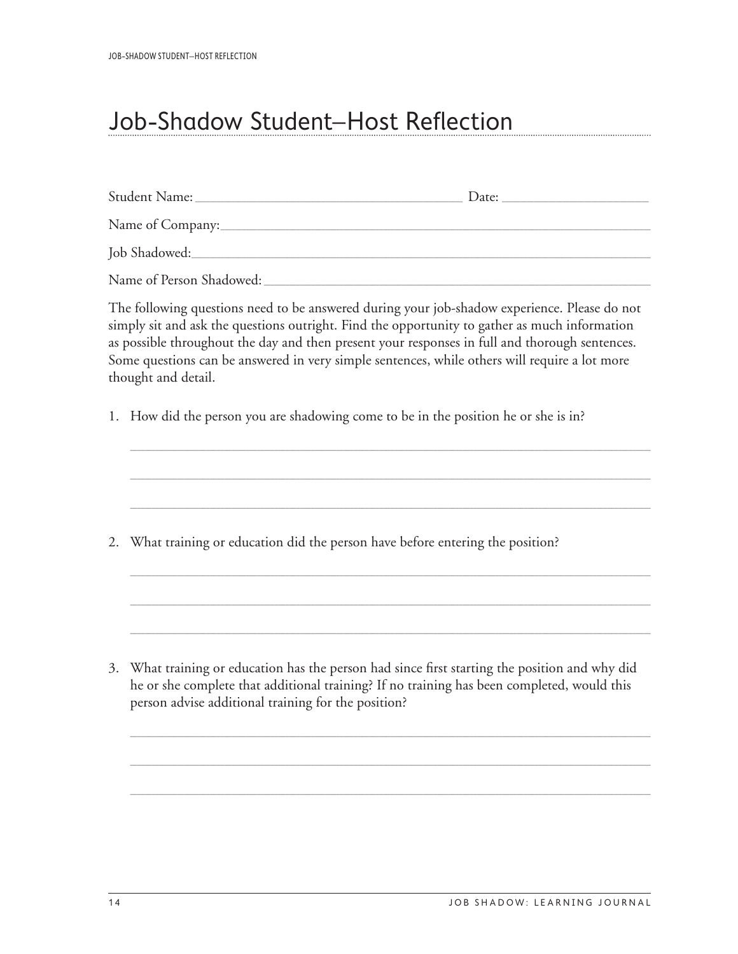### <span id="page-19-0"></span>Job-Shadow Student–Host Reflection

|    | Name of Person Shadowed:                                                                                                                                                                                                                                                                                                                                                                                                |
|----|-------------------------------------------------------------------------------------------------------------------------------------------------------------------------------------------------------------------------------------------------------------------------------------------------------------------------------------------------------------------------------------------------------------------------|
|    | The following questions need to be answered during your job-shadow experience. Please do not<br>simply sit and ask the questions outright. Find the opportunity to gather as much information<br>as possible throughout the day and then present your responses in full and thorough sentences.<br>Some questions can be answered in very simple sentences, while others will require a lot more<br>thought and detail. |
|    | 1. How did the person you are shadowing come to be in the position he or she is in?                                                                                                                                                                                                                                                                                                                                     |
|    |                                                                                                                                                                                                                                                                                                                                                                                                                         |
|    | 2. What training or education did the person have before entering the position?                                                                                                                                                                                                                                                                                                                                         |
| 3. | What training or education has the person had since first starting the position and why did<br>he or she complete that additional training? If no training has been completed, would this<br>person advise additional training for the position?                                                                                                                                                                        |

\_\_\_\_\_\_\_\_\_\_\_\_\_\_\_\_\_\_\_\_\_\_\_\_\_\_\_\_\_\_\_\_\_\_\_\_\_\_\_\_\_\_\_\_\_\_\_\_\_\_\_\_\_\_\_\_\_\_\_\_\_\_\_\_\_\_\_\_\_\_\_\_\_\_\_\_\_\_\_\_\_\_\_\_\_\_\_\_\_\_\_\_\_\_\_\_\_\_\_\_\_\_\_\_\_\_\_\_\_\_\_\_\_\_\_\_\_\_\_\_\_\_\_\_\_\_\_\_\_\_\_\_\_\_\_\_\_\_\_\_\_\_\_\_

\_\_\_\_\_\_\_\_\_\_\_\_\_\_\_\_\_\_\_\_\_\_\_\_\_\_\_\_\_\_\_\_\_\_\_\_\_\_\_\_\_\_\_\_\_\_\_\_\_\_\_\_\_\_\_\_\_\_\_\_\_\_\_\_\_\_\_\_\_\_\_\_\_\_\_\_\_\_\_\_\_\_\_\_\_\_\_\_\_\_\_\_\_\_\_\_\_\_\_\_\_\_\_\_\_\_\_\_\_\_\_\_\_\_\_\_\_\_\_\_\_\_\_\_\_\_\_\_\_\_\_\_\_\_\_\_\_\_\_\_\_\_\_\_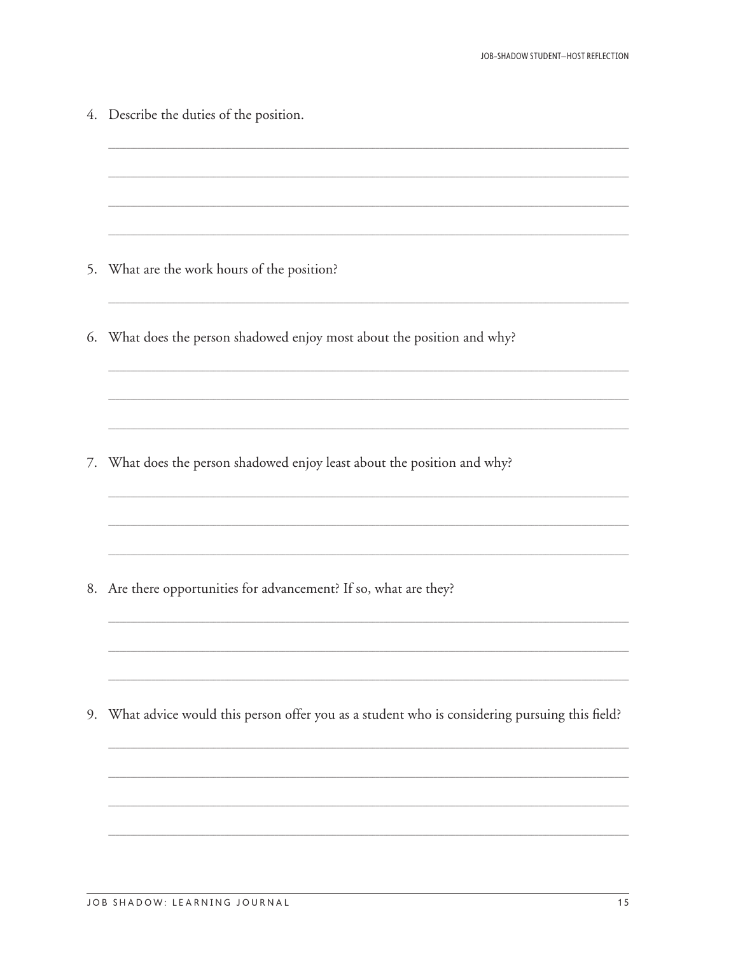|    | 4. Describe the duties of the position.                                                      |
|----|----------------------------------------------------------------------------------------------|
|    |                                                                                              |
| 5. | What are the work hours of the position?                                                     |
|    | 6. What does the person shadowed enjoy most about the position and why?                      |
| 7. | What does the person shadowed enjoy least about the position and why?                        |
|    |                                                                                              |
|    | 8. Are there opportunities for advancement? If so, what are they?                            |
| 9. | What advice would this person offer you as a student who is considering pursuing this field? |
|    |                                                                                              |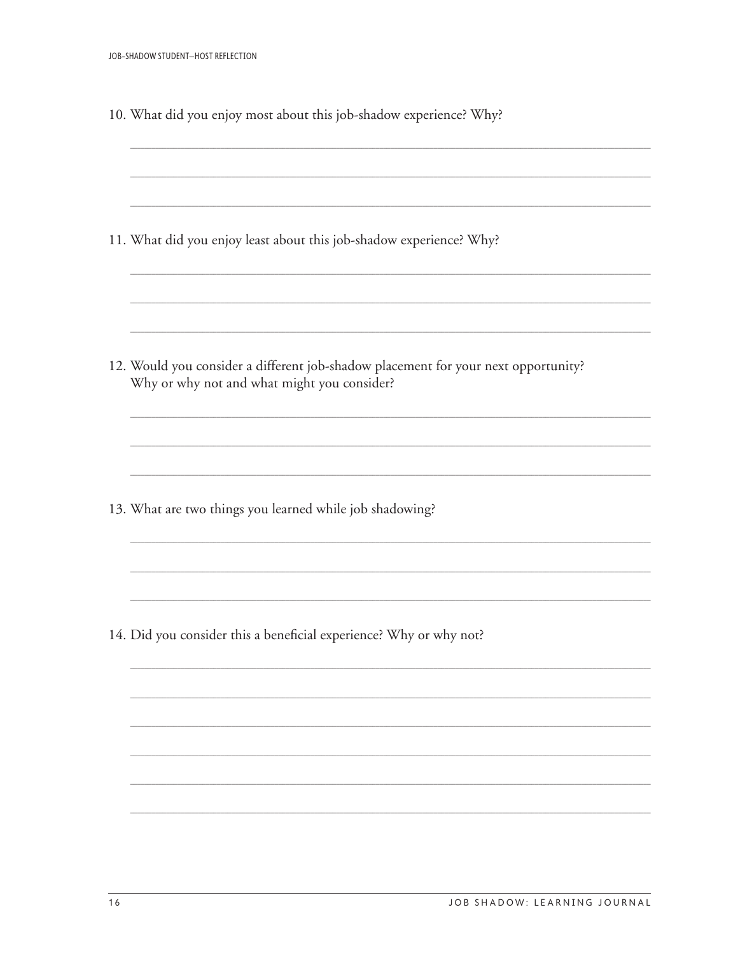11. What did you enjoy least about this job-shadow experience? Why?

12. Would you consider a different job-shadow placement for your next opportunity? Why or why not and what might you consider?

13. What are two things you learned while job shadowing?

14. Did you consider this a beneficial experience? Why or why not?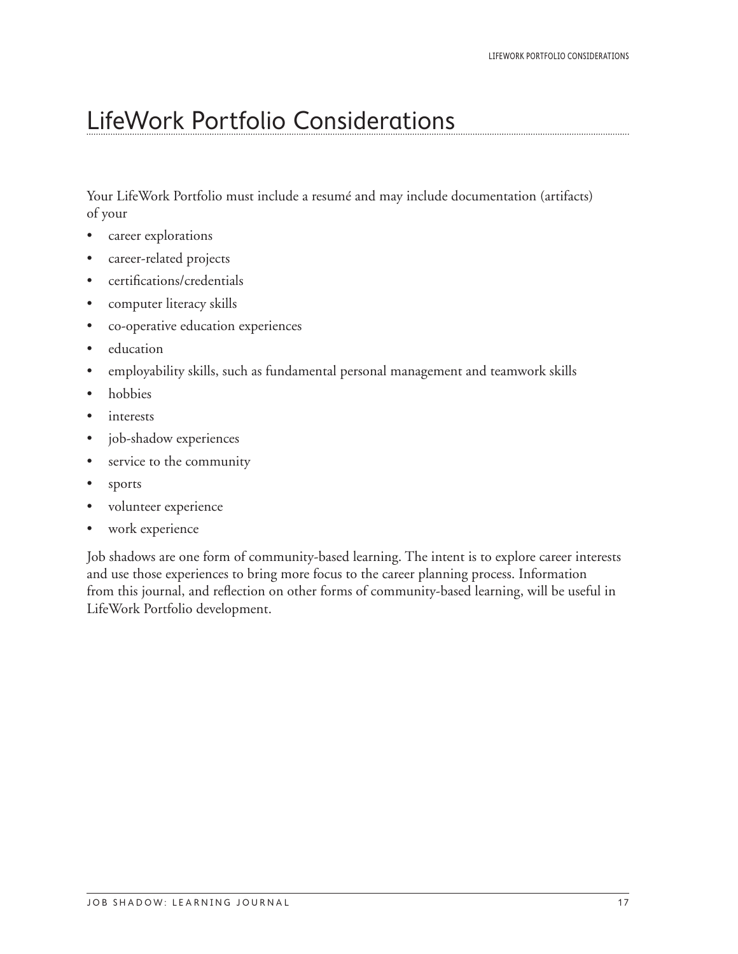#### <span id="page-22-0"></span>LifeWork Portfolio Considerations

Your LifeWork Portfolio must include a resumé and may include documentation (artifacts) of your

- career explorations
- career-related projects
- certifications/credentials
- • computer literacy skills
- • co-operative education experiences
- education
- employability skills, such as fundamental personal management and teamwork skills
- hobbies
- interests
- job-shadow experiences
- service to the community
- sports
- • volunteer experience
- work experience

Job shadows are one form of community-based learning. The intent is to explore career interests and use those experiences to bring more focus to the career planning process. Information from this journal, and reflection on other forms of community-based learning, will be useful in LifeWork Portfolio development.